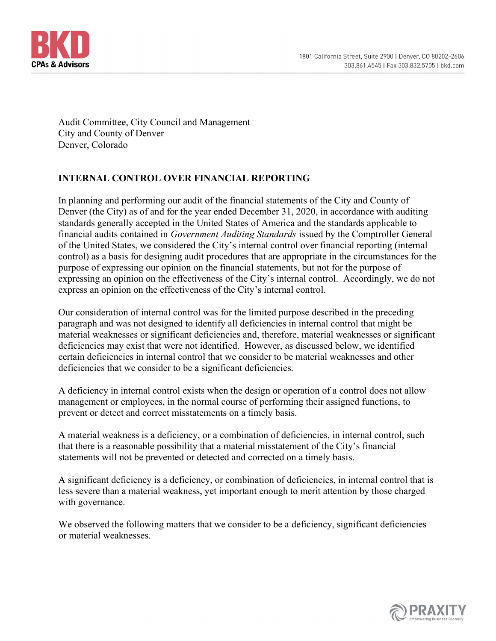



 Audit Committee, City Council and Management City and County of Denver Denver, Colorado

# INTERNAL CONTROL OVER FINANCIAL REPORTING

 In planning and performing our audit of the financial statements of the City and County of Denver (the City) as of and for the year ended December 31, 2020, in accordance with auditing standards generally accepted in the United States of America and the standards applicable to financial audits contained in Government Auditing Standards issued by the Comptroller General of the United States, we considered the City's internal control over financial reporting (internal control) as a basis for designing audit procedures that are appropriate in the circumstances for the purpose of expressing our opinion on the financial statements, but not for the purpose of expressing an opinion on the effectiveness of the City's internal control. Accordingly, we do not express an opinion on the effectiveness of the City's internal control.

 Our consideration of internal control was for the limited purpose described in the preceding paragraph and was not designed to identify all deficiencies in internal control that might be material weaknesses or significant deficiencies and, therefore, material weaknesses or significant deficiencies may exist that were not identified. However, as discussed below, we identified certain deficiencies in internal control that we consider to be material weaknesses and other deficiencies that we consider to be a significant deficiencies.

 A deficiency in internal control exists when the design or operation of a control does not allow management or employees, in the normal course of performing their assigned functions, to prevent or detect and correct misstatements on a timely basis.

 A material weakness is a deficiency, or a combination of deficiencies, in internal control, such that there is a reasonable possibility that a material misstatement of the City's financial statements will not be prevented or detected and corrected on a timely basis.

 A significant deficiency is a deficiency, or combination of deficiencies, in internal control that is less severe than a material weakness, yet important enough to merit attention by those charged with governance.

We observed the following matters that we consider to be a deficiency, significant deficiencies or material weaknesses.

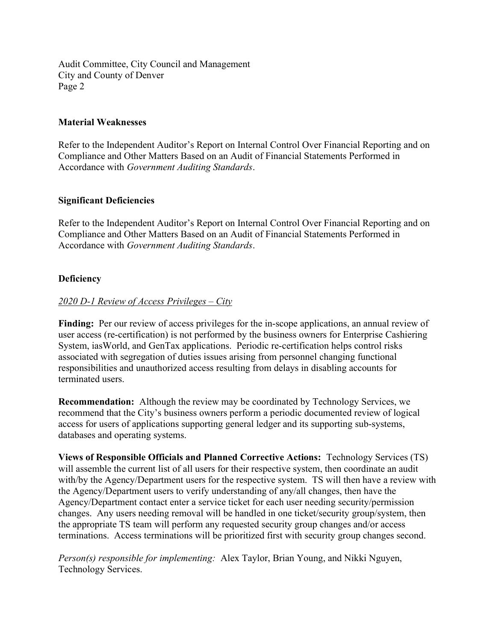#### Material Weaknesses

 Refer to the Independent Auditor's Report on Internal Control Over Financial Reporting and on Compliance and Other Matters Based on an Audit of Financial Statements Performed in Accordance with Government Auditing Standards.

### Significant Deficiencies

 Refer to the Independent Auditor's Report on Internal Control Over Financial Reporting and on Compliance and Other Matters Based on an Audit of Financial Statements Performed in Accordance with Government Auditing Standards.

### **Deficiency**

### 2020 D-1 Review of Access Privileges – City

Finding: Per our review of access privileges for the in-scope applications, an annual review of user access (re-certification) is not performed by the business owners for Enterprise Cashiering System, iasWorld, and GenTax applications. Periodic re-certification helps control risks associated with segregation of duties issues arising from personnel changing functional responsibilities and unauthorized access resulting from delays in disabling accounts for terminated users.

Recommendation: Although the review may be coordinated by Technology Services, we recommend that the City's business owners perform a periodic documented review of logical access for users of applications supporting general ledger and its supporting sub-systems, databases and operating systems.

 Views of Responsible Officials and Planned Corrective Actions: Technology Services (TS) will assemble the current list of all users for their respective system, then coordinate an audit with/by the Agency/Department users for the respective system. TS will then have a review with the Agency/Department users to verify understanding of any/all changes, then have the Agency/Department contact enter a service ticket for each user needing security/permission changes. Any users needing removal will be handled in one ticket/security group/system, then the appropriate TS team will perform any requested security group changes and/or access terminations. Access terminations will be prioritized first with security group changes second.

Person(s) responsible for implementing: Alex Taylor, Brian Young, and Nikki Nguyen, Technology Services.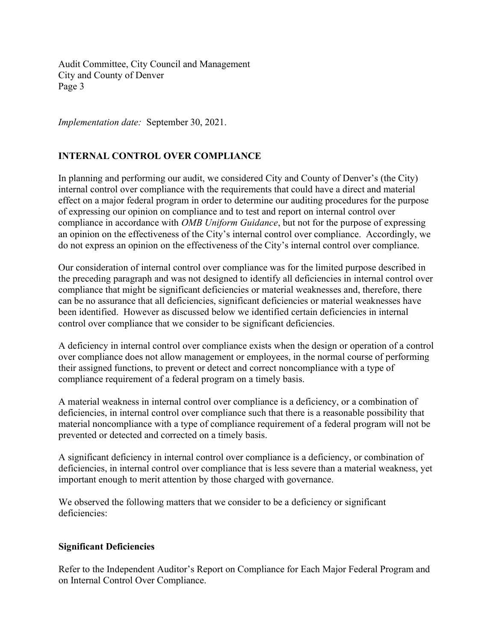Implementation date: September 30, 2021.

## INTERNAL CONTROL OVER COMPLIANCE

 In planning and performing our audit, we considered City and County of Denver's (the City) internal control over compliance with the requirements that could have a direct and material effect on a major federal program in order to determine our auditing procedures for the purpose of expressing our opinion on compliance and to test and report on internal control over compliance in accordance with *OMB Uniform Guidance*, but not for the purpose of expressing an opinion on the effectiveness of the City's internal control over compliance. Accordingly, we do not express an opinion on the effectiveness of the City's internal control over compliance.

 Our consideration of internal control over compliance was for the limited purpose described in the preceding paragraph and was not designed to identify all deficiencies in internal control over compliance that might be significant deficiencies or material weaknesses and, therefore, there can be no assurance that all deficiencies, significant deficiencies or material weaknesses have been identified. However as discussed below we identified certain deficiencies in internal control over compliance that we consider to be significant deficiencies.

 A deficiency in internal control over compliance exists when the design or operation of a control over compliance does not allow management or employees, in the normal course of performing their assigned functions, to prevent or detect and correct noncompliance with a type of compliance requirement of a federal program on a timely basis.

 A material weakness in internal control over compliance is a deficiency, or a combination of deficiencies, in internal control over compliance such that there is a reasonable possibility that material noncompliance with a type of compliance requirement of a federal program will not be prevented or detected and corrected on a timely basis.

 A significant deficiency in internal control over compliance is a deficiency, or combination of deficiencies, in internal control over compliance that is less severe than a material weakness, yet important enough to merit attention by those charged with governance.

 We observed the following matters that we consider to be a deficiency or significant deficiencies:

#### Significant Deficiencies

 Refer to the Independent Auditor's Report on Compliance for Each Major Federal Program and on Internal Control Over Compliance.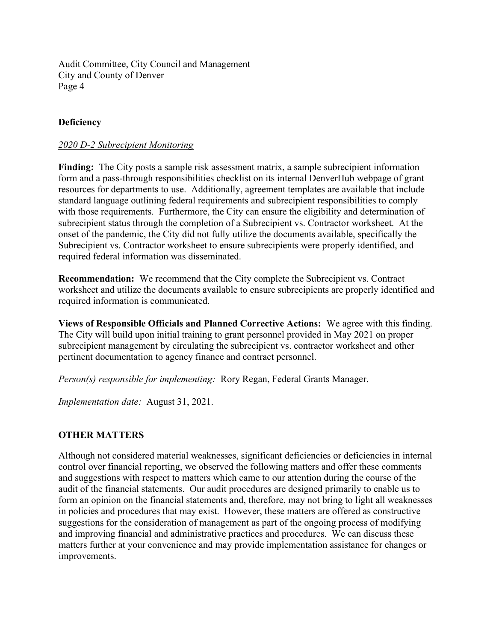## **Deficiency**

#### 2020 D-2 Subrecipient Monitoring

Finding: The City posts a sample risk assessment matrix, a sample subrecipient information form and a pass-through responsibilities checklist on its internal DenverHub webpage of grant resources for departments to use. Additionally, agreement templates are available that include standard language outlining federal requirements and subrecipient responsibilities to comply with those requirements. Furthermore, the City can ensure the eligibility and determination of subrecipient status through the completion of a Subrecipient vs. Contractor worksheet. At the onset of the pandemic, the City did not fully utilize the documents available, specifically the Subrecipient vs. Contractor worksheet to ensure subrecipients were properly identified, and required federal information was disseminated.

Recommendation: We recommend that the City complete the Subrecipient vs. Contract worksheet and utilize the documents available to ensure subrecipients are properly identified and required information is communicated.

 Views of Responsible Officials and Planned Corrective Actions: We agree with this finding. The City will build upon initial training to grant personnel provided in May 2021 on proper subrecipient management by circulating the subrecipient vs. contractor worksheet and other pertinent documentation to agency finance and contract personnel.

Person(s) responsible for implementing: Rory Regan, Federal Grants Manager.

Implementation date: August 31, 2021.

## OTHER MATTERS

 Although not considered material weaknesses, significant deficiencies or deficiencies in internal control over financial reporting, we observed the following matters and offer these comments and suggestions with respect to matters which came to our attention during the course of the audit of the financial statements. Our audit procedures are designed primarily to enable us to form an opinion on the financial statements and, therefore, may not bring to light all weaknesses in policies and procedures that may exist. However, these matters are offered as constructive suggestions for the consideration of management as part of the ongoing process of modifying and improving financial and administrative practices and procedures. We can discuss these matters further at your convenience and may provide implementation assistance for changes or improvements.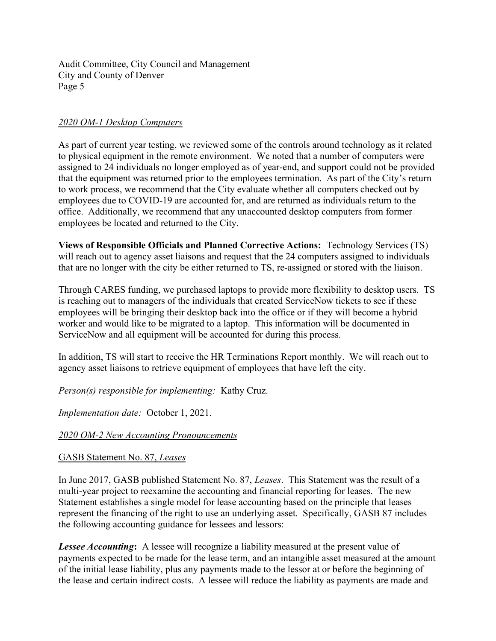## 2020 OM-1 Desktop Computers

 As part of current year testing, we reviewed some of the controls around technology as it related to physical equipment in the remote environment. We noted that a number of computers were assigned to 24 individuals no longer employed as of year-end, and support could not be provided that the equipment was returned prior to the employees termination. As part of the City's return to work process, we recommend that the City evaluate whether all computers checked out by employees due to COVID-19 are accounted for, and are returned as individuals return to the office. Additionally, we recommend that any unaccounted desktop computers from former employees be located and returned to the City.

 Views of Responsible Officials and Planned Corrective Actions: Technology Services (TS) will reach out to agency asset liaisons and request that the 24 computers assigned to individuals that are no longer with the city be either returned to TS, re-assigned or stored with the liaison.

 Through CARES funding, we purchased laptops to provide more flexibility to desktop users. TS is reaching out to managers of the individuals that created ServiceNow tickets to see if these employees will be bringing their desktop back into the office or if they will become a hybrid worker and would like to be migrated to a laptop. This information will be documented in ServiceNow and all equipment will be accounted for during this process.

 In addition, TS will start to receive the HR Terminations Report monthly. We will reach out to agency asset liaisons to retrieve equipment of employees that have left the city.

Person(s) responsible for implementing: Kathy Cruz.

Implementation date: October 1, 2021.

2020 OM-2 New Accounting Pronouncements

#### GASB Statement No. 87, Leases

In June 2017, GASB published Statement No. 87, Leases. This Statement was the result of a multi-year project to reexamine the accounting and financial reporting for leases. The new Statement establishes a single model for lease accounting based on the principle that leases represent the financing of the right to use an underlying asset. Specifically, GASB 87 includes the following accounting guidance for lessees and lessors:

Lessee Accounting: A lessee will recognize a liability measured at the present value of payments expected to be made for the lease term, and an intangible asset measured at the amount of the initial lease liability, plus any payments made to the lessor at or before the beginning of the lease and certain indirect costs. A lessee will reduce the liability as payments are made and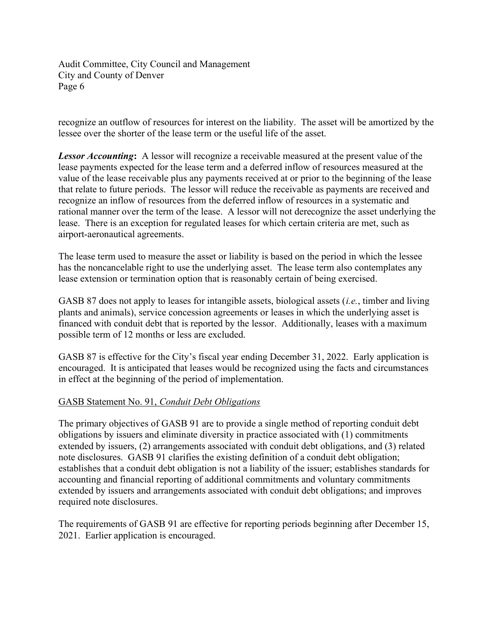recognize an outflow of resources for interest on the liability. The asset will be amortized by the lessee over the shorter of the lease term or the useful life of the asset.

Lessor Accounting: A lessor will recognize a receivable measured at the present value of the lease payments expected for the lease term and a deferred inflow of resources measured at the value of the lease receivable plus any payments received at or prior to the beginning of the lease that relate to future periods. The lessor will reduce the receivable as payments are received and recognize an inflow of resources from the deferred inflow of resources in a systematic and rational manner over the term of the lease. A lessor will not derecognize the asset underlying the lease. There is an exception for regulated leases for which certain criteria are met, such as airport-aeronautical agreements.

 The lease term used to measure the asset or liability is based on the period in which the lessee has the noncancelable right to use the underlying asset. The lease term also contemplates any lease extension or termination option that is reasonably certain of being exercised.

GASB 87 does not apply to leases for intangible assets, biological assets (*i.e.*, timber and living plants and animals), service concession agreements or leases in which the underlying asset is financed with conduit debt that is reported by the lessor. Additionally, leases with a maximum possible term of 12 months or less are excluded.

 GASB 87 is effective for the City's fiscal year ending December 31, 2022. Early application is encouraged. It is anticipated that leases would be recognized using the facts and circumstances in effect at the beginning of the period of implementation.

#### GASB Statement No. 91, Conduit Debt Obligations

 The primary objectives of GASB 91 are to provide a single method of reporting conduit debt obligations by issuers and eliminate diversity in practice associated with (1) commitments extended by issuers, (2) arrangements associated with conduit debt obligations, and (3) related note disclosures. GASB 91 clarifies the existing definition of a conduit debt obligation; establishes that a conduit debt obligation is not a liability of the issuer; establishes standards for accounting and financial reporting of additional commitments and voluntary commitments extended by issuers and arrangements associated with conduit debt obligations; and improves required note disclosures.

 The requirements of GASB 91 are effective for reporting periods beginning after December 15, 2021. Earlier application is encouraged.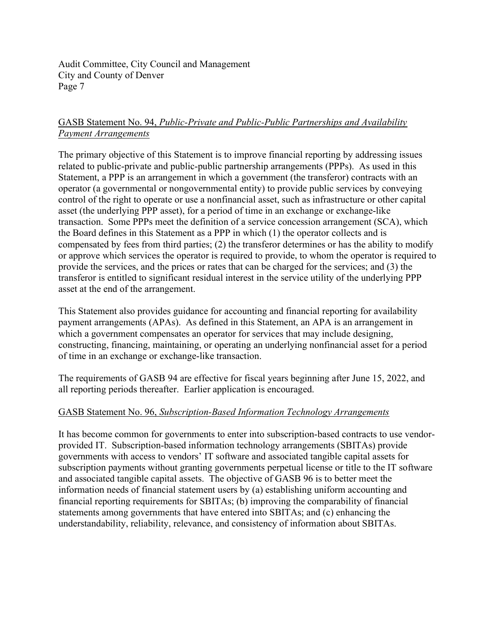## GASB Statement No. 94, Public-Private and Public-Public Partnerships and Availability Payment Arrangements

 The primary objective of this Statement is to improve financial reporting by addressing issues related to public-private and public-public partnership arrangements (PPPs). As used in this Statement, a PPP is an arrangement in which a government (the transferor) contracts with an operator (a governmental or nongovernmental entity) to provide public services by conveying control of the right to operate or use a nonfinancial asset, such as infrastructure or other capital asset (the underlying PPP asset), for a period of time in an exchange or exchange-like transaction. Some PPPs meet the definition of a service concession arrangement (SCA), which the Board defines in this Statement as a PPP in which (1) the operator collects and is compensated by fees from third parties; (2) the transferor determines or has the ability to modify or approve which services the operator is required to provide, to whom the operator is required to provide the services, and the prices or rates that can be charged for the services; and (3) the transferor is entitled to significant residual interest in the service utility of the underlying PPP asset at the end of the arrangement.

 This Statement also provides guidance for accounting and financial reporting for availability payment arrangements (APAs). As defined in this Statement, an APA is an arrangement in which a government compensates an operator for services that may include designing, constructing, financing, maintaining, or operating an underlying nonfinancial asset for a period of time in an exchange or exchange-like transaction.

 The requirements of GASB 94 are effective for fiscal years beginning after June 15, 2022, and all reporting periods thereafter. Earlier application is encouraged.

## GASB Statement No. 96, Subscription-Based Information Technology Arrangements

 It has become common for governments to enter into subscription-based contracts to use vendor- provided IT. Subscription-based information technology arrangements (SBITAs) provide governments with access to vendors' IT software and associated tangible capital assets for subscription payments without granting governments perpetual license or title to the IT software and associated tangible capital assets. The objective of GASB 96 is to better meet the information needs of financial statement users by (a) establishing uniform accounting and financial reporting requirements for SBITAs; (b) improving the comparability of financial statements among governments that have entered into SBITAs; and (c) enhancing the understandability, reliability, relevance, and consistency of information about SBITAs.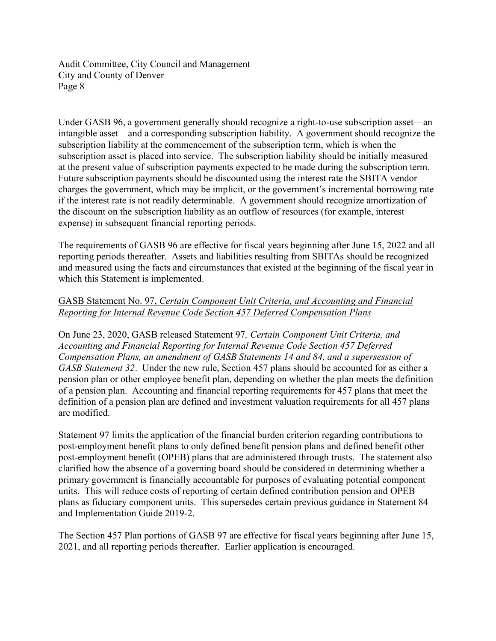Under GASB 96, a government generally should recognize a right-to-use subscription asset—an intangible asset—and a corresponding subscription liability. A government should recognize the subscription liability at the commencement of the subscription term, which is when the subscription asset is placed into service. The subscription liability should be initially measured at the present value of subscription payments expected to be made during the subscription term. Future subscription payments should be discounted using the interest rate the SBITA vendor charges the government, which may be implicit, or the government's incremental borrowing rate if the interest rate is not readily determinable. A government should recognize amortization of the discount on the subscription liability as an outflow of resources (for example, interest expense) in subsequent financial reporting periods.

 The requirements of GASB 96 are effective for fiscal years beginning after June 15, 2022 and all reporting periods thereafter. Assets and liabilities resulting from SBITAs should be recognized and measured using the facts and circumstances that existed at the beginning of the fiscal year in which this Statement is implemented.

## GASB Statement No. 97, Certain Component Unit Criteria, and Accounting and Financial Reporting for Internal Revenue Code Section 457 Deferred Compensation Plans

On June 23, 2020, GASB released Statement 97, Certain Component Unit Criteria, and Accounting and Financial Reporting for Internal Revenue Code Section 457 Deferred Compensation Plans, an amendment of GASB Statements 14 and 84, and a supersession of GASB Statement 32. Under the new rule, Section 457 plans should be accounted for as either a pension plan or other employee benefit plan, depending on whether the plan meets the definition of a pension plan. Accounting and financial reporting requirements for 457 plans that meet the definition of a pension plan are defined and investment valuation requirements for all 457 plans are modified.

 Statement 97 limits the application of the financial burden criterion regarding contributions to post-employment benefit plans to only defined benefit pension plans and defined benefit other post-employment benefit (OPEB) plans that are administered through trusts. The statement also clarified how the absence of a governing board should be considered in determining whether a primary government is financially accountable for purposes of evaluating potential component units. This will reduce costs of reporting of certain defined contribution pension and OPEB plans as fiduciary component units. This supersedes certain previous guidance in Statement 84 and Implementation Guide 2019-2.

 The Section 457 Plan portions of GASB 97 are effective for fiscal years beginning after June 15, 2021, and all reporting periods thereafter. Earlier application is encouraged.